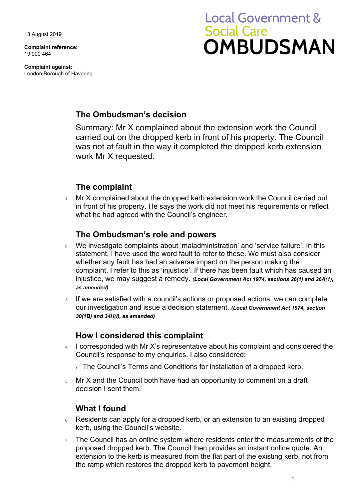13 August 2019

**Complaint reference:**  19 000 464

**Complaint against:**  London Borough of Havering

# **Local Government & Social Care OMBUDSMAN**

# **The Ombudsman's decision**

Summary: Mr X complained about the extension work the Council carried out on the dropped kerb in front of his property. The Council was not at fault in the way it completed the dropped kerb extension work Mr X requested.

# **The complaint**

 what he had agreed with the Council's engineer. Mr X complained about the dropped kerb extension work the Council carried out in front of his property. He says the work did not meet his requirements or reflect

## **The Ombudsman's role and powers**

- 2. We investigate complaints about 'maladministration' and 'service failure'. In this statement, I have used the word fault to refer to these. We must also consider whether any fault has had an adverse impact on the person making the complaint. I refer to this as 'injustice'. If there has been fault which has caused an injustice, we may suggest a remedy. *(Local Government Act 1974, sections 26(1) and 26A(1), as amended)*
- our investigation and issue a decision statement. *(Local Government Act 1974, section 3.* If we are satisfied with a council's actions or proposed actions, we can complete *30(1B) and 34H(i), as amended)*

### **How I considered this complaint**

- 4. I corresponded with Mr X's representative about his complaint and considered the Council's response to my enquiries. I also considered:
	- The Council's Terms and Conditions for installation of a dropped kerb.
- 5. Mr X and the Council both have had an opportunity to comment on a draft decision I sent them.

# **What I found**

- 6. Residents can apply for a dropped kerb, or an extension to an existing dropped kerb, using the Council's website.
- proposed dropped kerb. The Council then provides an instant online quote. An extension to the kerb is measured from the flat part of the existing kerb, not from 7. The Council has an online system where residents enter the measurements of the the ramp which restores the dropped kerb to pavement height.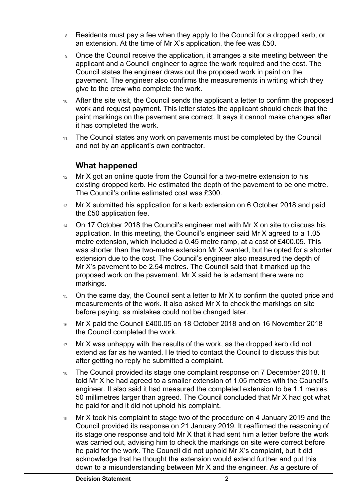- 8. Residents must pay a fee when they apply to the Council for a dropped kerb, or an extension. At the time of Mr X's application, the fee was £50.
- 9. Once the Council receive the application, it arranges a site meeting between the Council states the engineer draws out the proposed work in paint on the give to the crew who complete the work. applicant and a Council engineer to agree the work required and the cost. The pavement. The engineer also confirms the measurements in writing which they
- 10. After the site visit, the Council sends the applicant a letter to confirm the proposed work and request payment. This letter states the applicant should check that the paint markings on the pavement are correct. It says it cannot make changes after it has completed the work.
- 11. The Council states any work on pavements must be completed by the Council and not by an applicant's own contractor.

### **What happened**

 $\overline{a}$ 

- existing dropped kerb. He estimated the depth of the pavement to be one metre. 12. Mr X got an online quote from the Council for a two-metre extension to his The Council's online estimated cost was £300.
- 13. Mr X submitted his application for a kerb extension on 6 October 2018 and paid the £50 application fee.
- application. In this meeting, the Council's engineer said Mr X agreed to a 1.05 was shorter than the two-metre extension Mr X wanted, but he opted for a shorter extension due to the cost. The Council's engineer also measured the depth of Mr X's pavement to be 2.54 metres. The Council said that it marked up the 14. On 17 October 2018 the Council's engineer met with Mr X on site to discuss his metre extension, which included a 0.45 metre ramp, at a cost of £400.05. This proposed work on the pavement. Mr X said he is adamant there were no markings.
- 15. On the same day, the Council sent a letter to Mr X to confirm the quoted price and measurements of the work. It also asked Mr X to check the markings on site before paying, as mistakes could not be changed later.
- the Council completed the work. 16. Mr X paid the Council £400.05 on 18 October 2018 and on 16 November 2018
- 17. Mr X was unhappy with the results of the work, as the dropped kerb did not extend as far as he wanted. He tried to contact the Council to discuss this but after getting no reply he submitted a complaint.
- 18. The Council provided its stage one complaint response on 7 December 2018. It told Mr X he had agreed to a smaller extension of 1.05 metres with the Council's engineer. It also said it had measured the completed extension to be 1.1 metres, 50 millimetres larger than agreed. The Council concluded that Mr X had got what he paid for and it did not uphold his complaint.
- down to a misunderstanding between Mr X and the engineer. As a gesture of 19. Mr X took his complaint to stage two of the procedure on 4 January 2019 and the Council provided its response on 21 January 2019. It reaffirmed the reasoning of its stage one response and told Mr X that it had sent him a letter before the work was carried out, advising him to check the markings on site were correct before he paid for the work. The Council did not uphold Mr X's complaint, but it did acknowledge that he thought the extension would extend further and put this